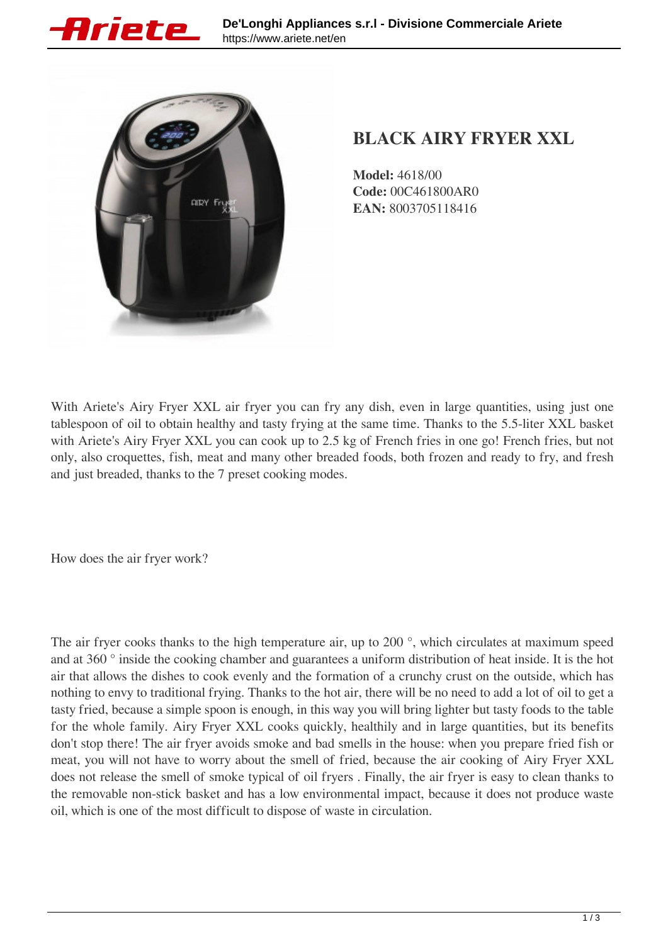



## **BLACK AIRY FRYER XXL**

**Model:** 4618/00 **Code:** 00C461800AR0 **EAN:** 8003705118416

With Ariete's Airy Fryer XXL air fryer you can fry any dish, even in large quantities, using just one tablespoon of oil to obtain healthy and tasty frying at the same time. Thanks to the 5.5-liter XXL basket with Ariete's Airy Fryer XXL you can cook up to 2.5 kg of French fries in one go! French fries, but not only, also croquettes, fish, meat and many other breaded foods, both frozen and ready to fry, and fresh and just breaded, thanks to the 7 preset cooking modes.

How does the air fryer work?

The air fryer cooks thanks to the high temperature air, up to 200 °, which circulates at maximum speed and at 360 ° inside the cooking chamber and guarantees a uniform distribution of heat inside. It is the hot air that allows the dishes to cook evenly and the formation of a crunchy crust on the outside, which has nothing to envy to traditional frying. Thanks to the hot air, there will be no need to add a lot of oil to get a tasty fried, because a simple spoon is enough, in this way you will bring lighter but tasty foods to the table for the whole family. Airy Fryer XXL cooks quickly, healthily and in large quantities, but its benefits don't stop there! The air fryer avoids smoke and bad smells in the house: when you prepare fried fish or meat, you will not have to worry about the smell of fried, because the air cooking of Airy Fryer XXL does not release the smell of smoke typical of oil fryers . Finally, the air fryer is easy to clean thanks to the removable non-stick basket and has a low environmental impact, because it does not produce waste oil, which is one of the most difficult to dispose of waste in circulation.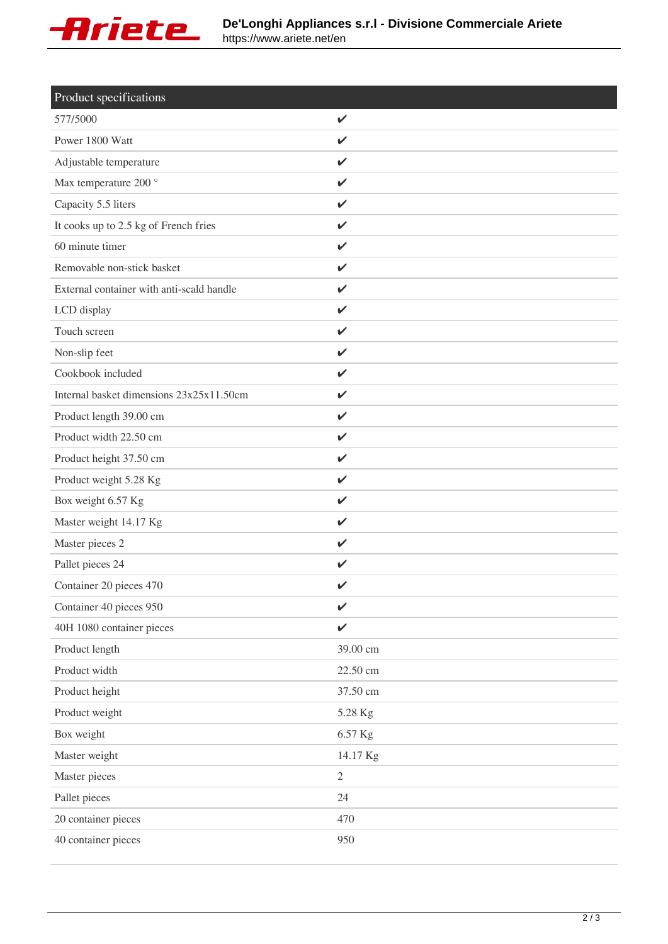

| Product specifications                    |              |
|-------------------------------------------|--------------|
| 577/5000                                  | $\checkmark$ |
| Power 1800 Watt                           | V            |
| Adjustable temperature                    | ✓            |
| Max temperature 200 °                     | $\checkmark$ |
| Capacity 5.5 liters                       | $\checkmark$ |
| It cooks up to 2.5 kg of French fries     | $\checkmark$ |
| 60 minute timer                           | $\checkmark$ |
| Removable non-stick basket                | $\checkmark$ |
| External container with anti-scald handle | $\checkmark$ |
| LCD display                               | $\checkmark$ |
| Touch screen                              | $\checkmark$ |
| Non-slip feet                             | $\checkmark$ |
| Cookbook included                         | $\checkmark$ |
| Internal basket dimensions 23x25x11.50cm  | $\checkmark$ |
| Product length 39.00 cm                   | $\checkmark$ |
| Product width 22.50 cm                    | $\checkmark$ |
| Product height 37.50 cm                   | $\checkmark$ |
| Product weight 5.28 Kg                    | $\checkmark$ |
| Box weight 6.57 Kg                        | $\checkmark$ |
| Master weight 14.17 Kg                    | $\checkmark$ |
| Master pieces 2                           | $\checkmark$ |
| Pallet pieces 24                          | V            |
| Container 20 pieces 470                   | V            |
| Container 40 pieces 950                   | $\checkmark$ |
| 40H 1080 container pieces                 | $\checkmark$ |
| Product length                            | 39.00 cm     |
| Product width                             | 22.50 cm     |
| Product height                            | 37.50 cm     |
| Product weight                            | 5.28 Kg      |
| Box weight                                | 6.57 Kg      |
| Master weight                             | 14.17 Kg     |
| Master pieces                             | $\mathbf{2}$ |
| Pallet pieces                             | 24           |
| 20 container pieces                       | 470          |
| 40 container pieces                       | 950          |